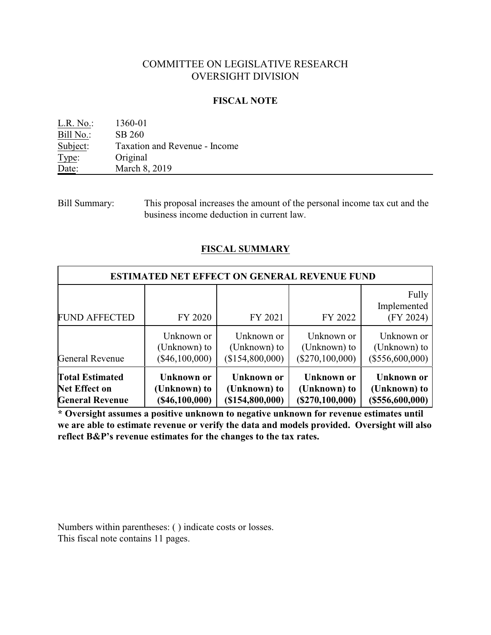# COMMITTEE ON LEGISLATIVE RESEARCH OVERSIGHT DIVISION

#### **FISCAL NOTE**

| L.R. No.: | 1360-01                       |
|-----------|-------------------------------|
| Bill No.: | SB 260                        |
| Subject:  | Taxation and Revenue - Income |
| Type:     | Original                      |
| Date:     | March 8, 2019                 |

Bill Summary: This proposal increases the amount of the personal income tax cut and the business income deduction in current law.

# **FISCAL SUMMARY**

| <b>ESTIMATED NET EFFECT ON GENERAL REVENUE FUND</b> |                  |                   |                     |                                   |
|-----------------------------------------------------|------------------|-------------------|---------------------|-----------------------------------|
| <b>FUND AFFECTED</b>                                | FY 2020          | FY 2021           | FY 2022             | Fully<br>Implemented<br>(FY 2024) |
| <b>General Revenue</b>                              | Unknown or       | Unknown or        | Unknown or          | Unknown or                        |
|                                                     | (Unknown) to     | (Unknown) to      | (Unknown) to        | (Unknown) to                      |
|                                                     | $(\$46,100,000)$ | (\$154,800,000)   | $(\$270, 100, 000)$ | (\$556,600,000)                   |
| <b>Total Estimated</b>                              | Unknown or       | <b>Unknown or</b> | Unknown or          | Unknown or                        |
| <b>Net Effect on</b>                                | (Unknown) to     | (Unknown) to      | (Unknown) to        | (Unknown) to                      |
| <b>General Revenue</b>                              | (S46, 100, 000)  | (\$154,800,000)   | (S270, 100, 000)    | (\$556,600,000)                   |

**\* Oversight assumes a positive unknown to negative unknown for revenue estimates until we are able to estimate revenue or verify the data and models provided. Oversight will also reflect B&P's revenue estimates for the changes to the tax rates.**

Numbers within parentheses: ( ) indicate costs or losses. This fiscal note contains 11 pages.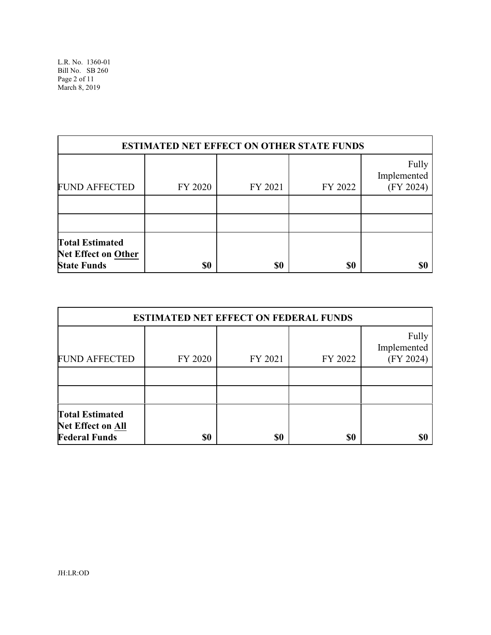| <b>ESTIMATED NET EFFECT ON OTHER STATE FUNDS</b>                    |         |         |         |                                   |
|---------------------------------------------------------------------|---------|---------|---------|-----------------------------------|
| <b>FUND AFFECTED</b>                                                | FY 2020 | FY 2021 | FY 2022 | Fully<br>Implemented<br>(FY 2024) |
|                                                                     |         |         |         |                                   |
|                                                                     |         |         |         |                                   |
| <b>Total Estimated</b><br>Net Effect on Other<br><b>State Funds</b> | \$0     | \$0     | \$0     | \$0                               |

|                                                                            | <b>ESTIMATED NET EFFECT ON FEDERAL FUNDS</b> |         |         |                                   |
|----------------------------------------------------------------------------|----------------------------------------------|---------|---------|-----------------------------------|
| <b>FUND AFFECTED</b>                                                       | FY 2020                                      | FY 2021 | FY 2022 | Fully<br>Implemented<br>(FY 2024) |
|                                                                            |                                              |         |         |                                   |
|                                                                            |                                              |         |         |                                   |
| <b>Total Estimated</b><br><b>Net Effect on All</b><br><b>Federal Funds</b> | \$0                                          | \$0     | \$0     | \$0                               |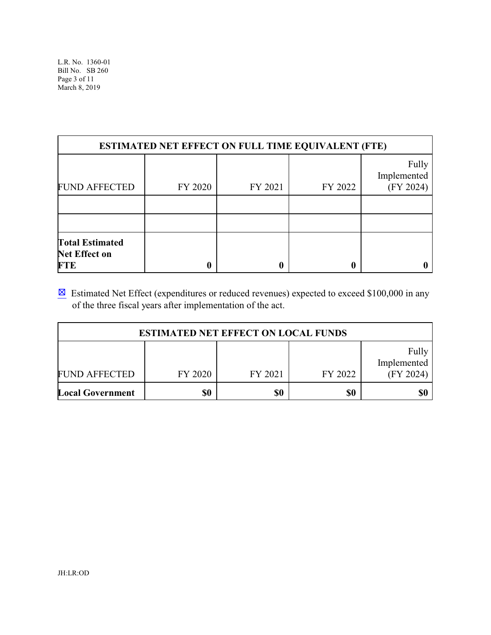| <b>ESTIMATED NET EFFECT ON FULL TIME EQUIVALENT (FTE)</b>    |         |         |         |                                   |
|--------------------------------------------------------------|---------|---------|---------|-----------------------------------|
| <b>FUND AFFECTED</b>                                         | FY 2020 | FY 2021 | FY 2022 | Fully<br>Implemented<br>(FY 2024) |
|                                                              |         |         |         |                                   |
|                                                              |         |         |         |                                   |
| <b>Total Estimated</b><br><b>Net Effect on</b><br><b>FTE</b> |         | 0       |         |                                   |

 $\boxtimes$  Estimated Net Effect (expenditures or reduced revenues) expected to exceed \$100,000 in any of the three fiscal years after implementation of the act.

| <b>ESTIMATED NET EFFECT ON LOCAL FUNDS</b> |         |         |         |                                   |
|--------------------------------------------|---------|---------|---------|-----------------------------------|
| <b>FUND AFFECTED</b>                       | FY 2020 | FY 2021 | FY 2022 | Fully<br>Implemented<br>(FY 2024) |
| <b>Local Government</b>                    | \$0     | \$0     | \$0     | \$0                               |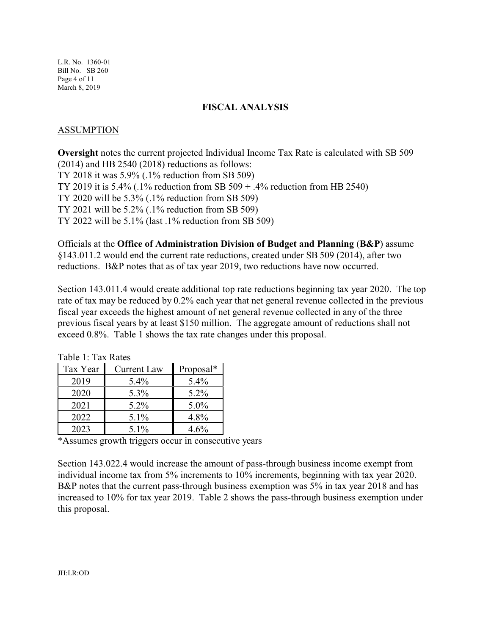L.R. No. 1360-01 Bill No. SB 260 Page 4 of 11 March 8, 2019

#### **FISCAL ANALYSIS**

#### ASSUMPTION

**Oversight** notes the current projected Individual Income Tax Rate is calculated with SB 509 (2014) and HB 2540 (2018) reductions as follows: TY 2018 it was 5.9% (.1% reduction from SB 509) TY 2019 it is 5.4% (.1% reduction from SB 509 + .4% reduction from HB 2540) TY 2020 will be 5.3% (.1% reduction from SB 509) TY 2021 will be 5.2% (.1% reduction from SB 509) TY 2022 will be 5.1% (last .1% reduction from SB 509)

Officials at the **Office of Administration Division of Budget and Planning** (**B&P**) assume §143.011.2 would end the current rate reductions, created under SB 509 (2014), after two reductions. B&P notes that as of tax year 2019, two reductions have now occurred.

Section 143.011.4 would create additional top rate reductions beginning tax year 2020. The top rate of tax may be reduced by 0.2% each year that net general revenue collected in the previous fiscal year exceeds the highest amount of net general revenue collected in any of the three previous fiscal years by at least \$150 million. The aggregate amount of reductions shall not exceed 0.8%. Table 1 shows the tax rate changes under this proposal.

| Tax Year | <b>Current Law</b> | Proposal* |
|----------|--------------------|-----------|
| 2019     | $5.4\%$            | $5.4\%$   |
| 2020     | 5.3%               | $5.2\%$   |
| 2021     | $5.2\%$            | $5.0\%$   |
| 2022     | $5.1\%$            | 4.8%      |
| 2023     | $5.1\%$            | $4.6\%$   |

Table 1: Tax Rates

\*Assumes growth triggers occur in consecutive years

Section 143.022.4 would increase the amount of pass-through business income exempt from individual income tax from 5% increments to 10% increments, beginning with tax year 2020. B&P notes that the current pass-through business exemption was 5% in tax year 2018 and has increased to 10% for tax year 2019. Table 2 shows the pass-through business exemption under this proposal.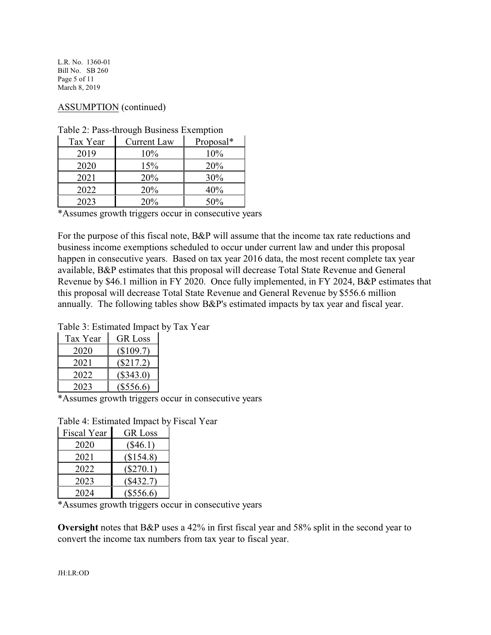L.R. No. 1360-01 Bill No. SB 260 Page 5 of 11 March 8, 2019

# ASSUMPTION (continued)

| Tax Year | <b>Current Law</b> | Proposal* |
|----------|--------------------|-----------|
| 2019     | $10\%$             | 10%       |
| 2020     | 15%                | 20%       |
| 2021     | 20%                | 30%       |
| 2022     | 20%                | 40%       |
| 2023     | 20%                | 50%       |

Table 2: Pass-through Business Exemption

\*Assumes growth triggers occur in consecutive years

For the purpose of this fiscal note, B&P will assume that the income tax rate reductions and business income exemptions scheduled to occur under current law and under this proposal happen in consecutive years. Based on tax year 2016 data, the most recent complete tax year available, B&P estimates that this proposal will decrease Total State Revenue and General Revenue by \$46.1 million in FY 2020. Once fully implemented, in FY 2024, B&P estimates that this proposal will decrease Total State Revenue and General Revenue by \$556.6 million annually. The following tables show B&P's estimated impacts by tax year and fiscal year.

Table 3: Estimated Impact by Tax Year

| Tax Year | <b>GR</b> Loss |
|----------|----------------|
| 2020     | (\$109.7)      |
| 2021     | $(\$217.2)$    |
| 2022     | $(\$343.0)$    |
| 2023     | $(\$556.6)$    |

\*Assumes growth triggers occur in consecutive years

Table 4: Estimated Impact by Fiscal Year

| Fiscal Year | <b>GR</b> Loss |
|-------------|----------------|
| 2020        | $(\$46.1)$     |
| 2021        | (\$154.8)      |
| 2022        | $(\$270.1)$    |
| 2023        | $(\$432.7)$    |
| 2024        | $(\$556.6)$    |

\*Assumes growth triggers occur in consecutive years

**Oversight** notes that B&P uses a 42% in first fiscal year and 58% split in the second year to convert the income tax numbers from tax year to fiscal year.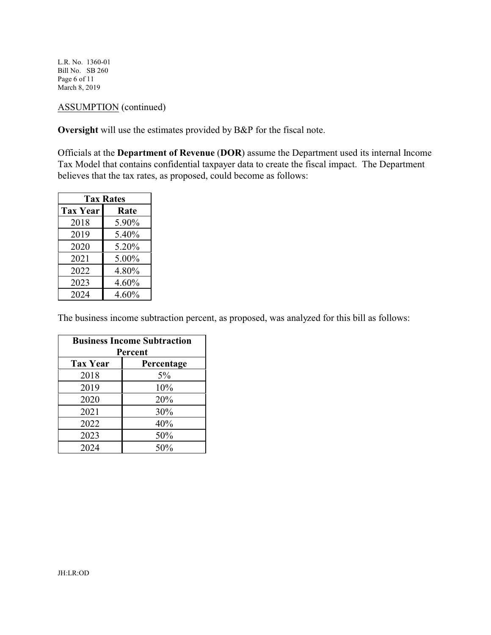L.R. No. 1360-01 Bill No. SB 260 Page 6 of 11 March 8, 2019

# ASSUMPTION (continued)

**Oversight** will use the estimates provided by B&P for the fiscal note.

Officials at the **Department of Revenue** (**DOR**) assume the Department used its internal Income Tax Model that contains confidential taxpayer data to create the fiscal impact. The Department believes that the tax rates, as proposed, could become as follows:

| <b>Tax Rates</b> |       |  |
|------------------|-------|--|
| <b>Tax Year</b>  | Rate  |  |
| 2018             | 5.90% |  |
| 2019             | 5.40% |  |
| 2020             | 5.20% |  |
| 2021             | 5.00% |  |
| 2022             | 4.80% |  |
| 2023             | 4.60% |  |
| 2024             | 4.60% |  |

The business income subtraction percent, as proposed, was analyzed for this bill as follows:

| <b>Business Income Subtraction</b> |            |  |
|------------------------------------|------------|--|
|                                    | Percent    |  |
| <b>Tax Year</b>                    | Percentage |  |
| 2018                               | 5%         |  |
| 2019                               | 10%        |  |
| 2020                               | 20%        |  |
| 2021                               | 30%        |  |
| 2022                               | 40%        |  |
| 2023                               | 50%        |  |
| 2024                               | 50%        |  |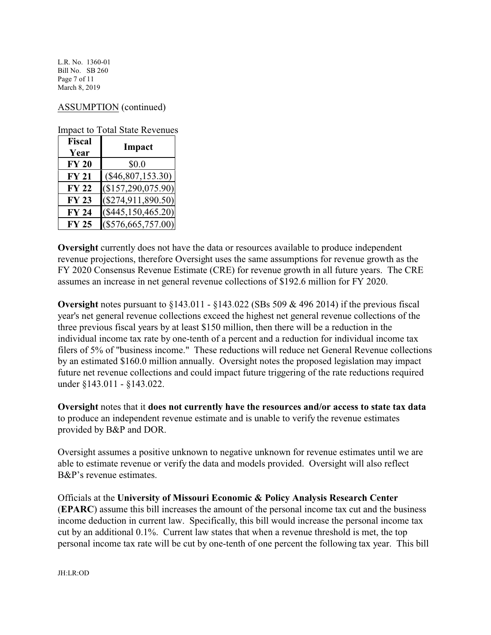L.R. No. 1360-01 Bill No. SB 260 Page 7 of 11 March 8, 2019

## ASSUMPTION (continued)

Impact to Total State Revenues

| <b>Fiscal</b><br>Year | Impact               |
|-----------------------|----------------------|
| <b>FY 20</b>          | \$0.0                |
| <b>FY 21</b>          | $(\$46,807,153.30)$  |
| <b>FY 22</b>          | (\$157,290,075.90)   |
| <b>FY 23</b>          | $(\$274,911,890.50)$ |
| <b>FY 24</b>          | $(\$445,150,465.20)$ |
| <b>FY 25</b>          | $(\$576,665,757.00)$ |

**Oversight** currently does not have the data or resources available to produce independent revenue projections, therefore Oversight uses the same assumptions for revenue growth as the FY 2020 Consensus Revenue Estimate (CRE) for revenue growth in all future years. The CRE assumes an increase in net general revenue collections of \$192.6 million for FY 2020.

**Oversight** notes pursuant to §143.011 - §143.022 (SBs 509 & 496 2014) if the previous fiscal year's net general revenue collections exceed the highest net general revenue collections of the three previous fiscal years by at least \$150 million, then there will be a reduction in the individual income tax rate by one-tenth of a percent and a reduction for individual income tax filers of 5% of "business income." These reductions will reduce net General Revenue collections by an estimated \$160.0 million annually. Oversight notes the proposed legislation may impact future net revenue collections and could impact future triggering of the rate reductions required under §143.011 - §143.022.

**Oversight** notes that it **does not currently have the resources and/or access to state tax data** to produce an independent revenue estimate and is unable to verify the revenue estimates provided by B&P and DOR.

Oversight assumes a positive unknown to negative unknown for revenue estimates until we are able to estimate revenue or verify the data and models provided. Oversight will also reflect B&P's revenue estimates.

Officials at the **University of Missouri Economic & Policy Analysis Research Center** (**EPARC**) assume this bill increases the amount of the personal income tax cut and the business income deduction in current law. Specifically, this bill would increase the personal income tax cut by an additional 0.1%. Current law states that when a revenue threshold is met, the top personal income tax rate will be cut by one-tenth of one percent the following tax year. This bill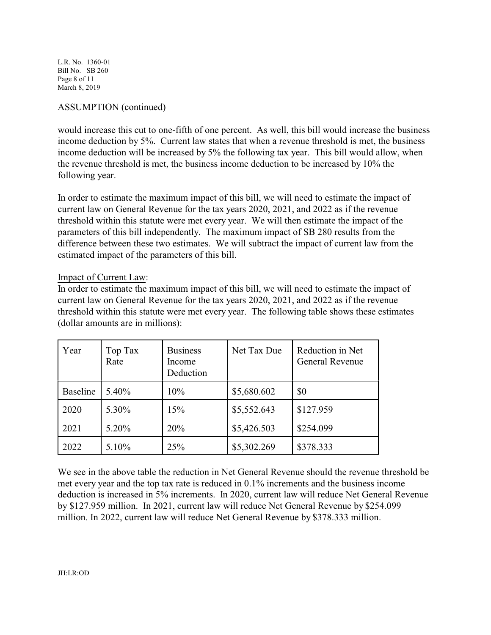L.R. No. 1360-01 Bill No. SB 260 Page 8 of 11 March 8, 2019

## ASSUMPTION (continued)

would increase this cut to one-fifth of one percent. As well, this bill would increase the business income deduction by 5%. Current law states that when a revenue threshold is met, the business income deduction will be increased by 5% the following tax year. This bill would allow, when the revenue threshold is met, the business income deduction to be increased by 10% the following year.

In order to estimate the maximum impact of this bill, we will need to estimate the impact of current law on General Revenue for the tax years 2020, 2021, and 2022 as if the revenue threshold within this statute were met every year. We will then estimate the impact of the parameters of this bill independently. The maximum impact of SB 280 results from the difference between these two estimates. We will subtract the impact of current law from the estimated impact of the parameters of this bill.

#### Impact of Current Law:

In order to estimate the maximum impact of this bill, we will need to estimate the impact of current law on General Revenue for the tax years 2020, 2021, and 2022 as if the revenue threshold within this statute were met every year. The following table shows these estimates (dollar amounts are in millions):

| Year            | Top Tax<br>Rate | <b>Business</b><br>Income<br>Deduction | Net Tax Due | Reduction in Net<br><b>General Revenue</b> |
|-----------------|-----------------|----------------------------------------|-------------|--------------------------------------------|
| <b>Baseline</b> | 5.40%           | 10%                                    | \$5,680.602 | \$0                                        |
| 2020            | 5.30%           | 15%                                    | \$5,552.643 | \$127.959                                  |
| 2021            | 5.20%           | 20%                                    | \$5,426.503 | \$254.099                                  |
| 2022            | 5.10%           | 25%                                    | \$5,302.269 | \$378.333                                  |

We see in the above table the reduction in Net General Revenue should the revenue threshold be met every year and the top tax rate is reduced in 0.1% increments and the business income deduction is increased in 5% increments. In 2020, current law will reduce Net General Revenue by \$127.959 million. In 2021, current law will reduce Net General Revenue by \$254.099 million. In 2022, current law will reduce Net General Revenue by \$378.333 million.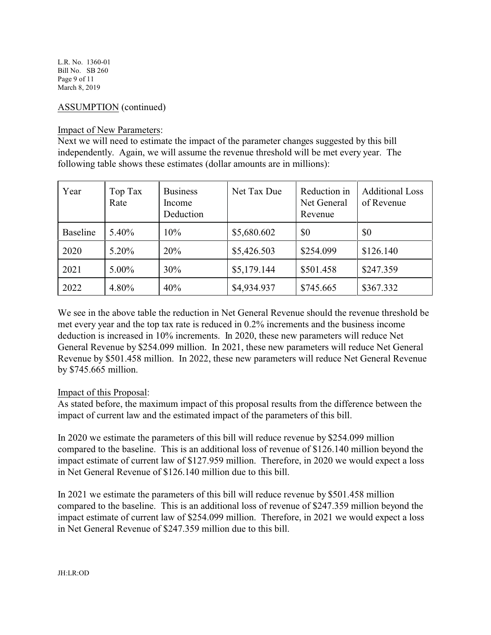L.R. No. 1360-01 Bill No. SB 260 Page 9 of 11 March 8, 2019

## ASSUMPTION (continued)

#### Impact of New Parameters:

Next we will need to estimate the impact of the parameter changes suggested by this bill independently. Again, we will assume the revenue threshold will be met every year. The following table shows these estimates (dollar amounts are in millions):

| Year            | Top Tax<br>Rate | <b>Business</b><br>Income<br>Deduction | Net Tax Due | Reduction in<br>Net General<br>Revenue | <b>Additional Loss</b><br>of Revenue |
|-----------------|-----------------|----------------------------------------|-------------|----------------------------------------|--------------------------------------|
| <b>Baseline</b> | 5.40%           | 10%                                    | \$5,680.602 | \$0                                    | \$0                                  |
| 2020            | $5.20\%$        | 20%                                    | \$5,426.503 | \$254.099                              | \$126.140                            |
| 2021            | $5.00\%$        | 30%                                    | \$5,179.144 | \$501.458                              | \$247.359                            |
| 2022            | 4.80%           | 40%                                    | \$4,934.937 | \$745.665                              | \$367.332                            |

We see in the above table the reduction in Net General Revenue should the revenue threshold be met every year and the top tax rate is reduced in 0.2% increments and the business income deduction is increased in 10% increments. In 2020, these new parameters will reduce Net General Revenue by \$254.099 million. In 2021, these new parameters will reduce Net General Revenue by \$501.458 million. In 2022, these new parameters will reduce Net General Revenue by \$745.665 million.

#### Impact of this Proposal:

As stated before, the maximum impact of this proposal results from the difference between the impact of current law and the estimated impact of the parameters of this bill.

In 2020 we estimate the parameters of this bill will reduce revenue by \$254.099 million compared to the baseline. This is an additional loss of revenue of \$126.140 million beyond the impact estimate of current law of \$127.959 million. Therefore, in 2020 we would expect a loss in Net General Revenue of \$126.140 million due to this bill.

In 2021 we estimate the parameters of this bill will reduce revenue by \$501.458 million compared to the baseline. This is an additional loss of revenue of \$247.359 million beyond the impact estimate of current law of \$254.099 million. Therefore, in 2021 we would expect a loss in Net General Revenue of \$247.359 million due to this bill.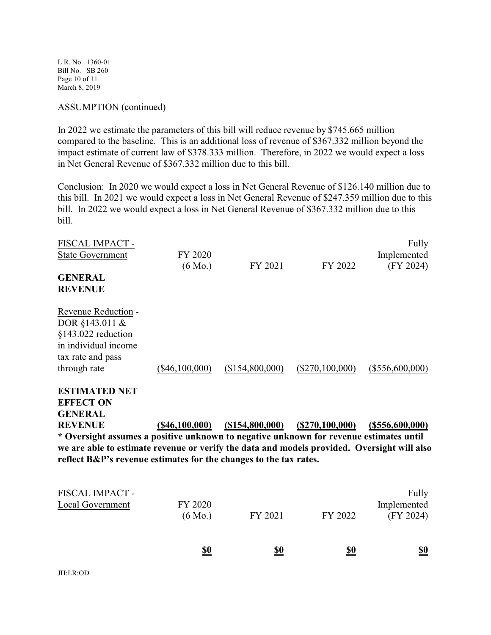L.R. No. 1360-01 Bill No. SB 260 Page 10 of 11 March 8, 2019

#### ASSUMPTION (continued)

In 2022 we estimate the parameters of this bill will reduce revenue by \$745.665 million compared to the baseline. This is an additional loss of revenue of \$367.332 million beyond the impact estimate of current law of \$378.333 million. Therefore, in 2022 we would expect a loss in Net General Revenue of \$367.332 million due to this bill.

Conclusion: In 2020 we would expect a loss in Net General Revenue of \$126.140 million due to this bill. In 2021 we would expect a loss in Net General Revenue of \$247.359 million due to this bill. In 2022 we would expect a loss in Net General Revenue of \$367.332 million due to this bill.

| FISCAL IMPACT -                                                                             |                   |                    |                   | Fully              |
|---------------------------------------------------------------------------------------------|-------------------|--------------------|-------------------|--------------------|
| <b>State Government</b>                                                                     | FY 2020           |                    |                   | Implemented        |
|                                                                                             | $(6 \text{ Mo.})$ | FY 2021            | FY 2022           | (FY 2024)          |
| <b>GENERAL</b>                                                                              |                   |                    |                   |                    |
| <b>REVENUE</b>                                                                              |                   |                    |                   |                    |
| Revenue Reduction -                                                                         |                   |                    |                   |                    |
| DOR §143.011 &                                                                              |                   |                    |                   |                    |
| §143.022 reduction                                                                          |                   |                    |                   |                    |
| in individual income                                                                        |                   |                    |                   |                    |
| tax rate and pass                                                                           |                   |                    |                   |                    |
| through rate                                                                                | $(\$46,100,000)$  | (\$154,800,000)    | $(\$270,100,000)$ | $(\$556,600,000)$  |
| <b>ESTIMATED NET</b>                                                                        |                   |                    |                   |                    |
| <b>EFFECT ON</b>                                                                            |                   |                    |                   |                    |
| <b>GENERAL</b>                                                                              |                   |                    |                   |                    |
| <b>REVENUE</b>                                                                              | $($ \$46,100,000) | $($ \$154,800,000) | (S270, 100, 000)  | $($ \$556,600,000) |
| * Oversight assumes a positive unknown to negative unknown for revenue estimates until      |                   |                    |                   |                    |
| we are able to estimate revenue or verify the data and models provided. Oversight will also |                   |                    |                   |                    |
| reflect B&P's revenue estimates for the changes to the tax rates.                           |                   |                    |                   |                    |
|                                                                                             |                   |                    |                   |                    |
| FISCAL IMPACT -                                                                             |                   |                    |                   | Fully              |
| Local Government                                                                            | FY 2020           |                    |                   | Implemented        |
|                                                                                             | $(6 \text{ Mo.})$ | FY 2021            | FY 2022           | (FY 2024)          |
|                                                                                             |                   |                    |                   |                    |
|                                                                                             |                   |                    |                   |                    |

| $\sim$<br>____<br>$\sim$ |
|--------------------------|
|--------------------------|